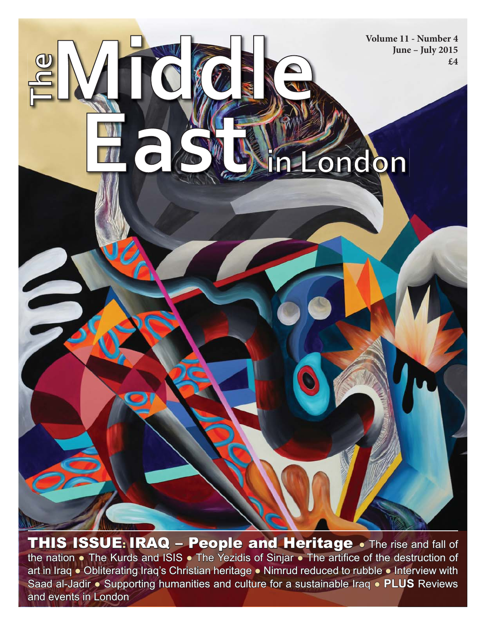

THIS ISSUE: IRAQ - People and Heritage . The rise and fall of the nation • The Kurds and ISIS • The Yezidis of Sinjar • The artifice of the destruction of art in Iraq • Obliterating Iraq's Christian heritage • Nimrud reduced to rubble • Interview with Saad al-Jadir • Supporting humanities and culture for a sustainable Iraq • **PLUS** Reviews and events in London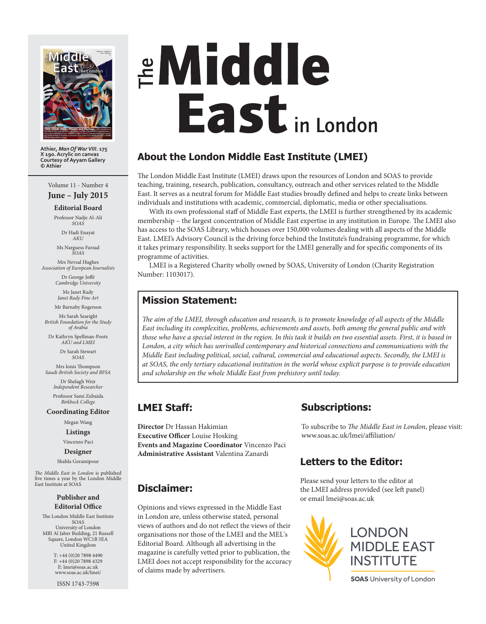

**Athier,** *Man Of War VIII***. 175 X 190. Acrylic on canvas Courtesy of Ayyam Gallery © Athier**

#### Volume 11 - Number 4

**June – July 2015**

#### **Editorial Board** Professor Nadje Al-Ali

*SOAS*

Dr Hadi Enayat *AKU*

Ms Narguess Farzad *SOAS*

Mrs Nevsal Hughes *Association of European Journalists*

Dr George Joffé<br>*Cambridge University* 

Ms Janet Rady *Janet Rady Fine Art*

Mr Barnaby Rogerson Ms Sarah Searight *British Foundation for the Study* 

*of Arabia* Dr Kathryn Spellman-Poots *AKU and LMEI*

> Dr Sarah Stewart *SOAS*

Mrs Ionis Thompson *Saudi-British Society and BFSA*

> Dr Shelagh Weir *Independent Researcher* Professor Sami Zubaida

# *Birkbeck College*

**Coordinating Editor**

Megan Wang

**Listings**

Vincenzo Paci **Designer**

Shahla Geramipour

The Middle East in London is published five times a year by the London Middle East Institute at SOAS

#### **Publisher and Editorial Office**

The London Middle East Institute SOAS University of London MBI Al Jaber Building, 21 Russell Square, London WC1B 5EA United Kingdom

> T: +44 (0)20 7898 4490 F: +44 (0)20 7898 4329 E: lmei@soas.ac.uk www.soas.ac.uk/lmei/

ISSN 1743-7598

# **EMiddle East** in London

# **About the London Middle East Institute (LMEI)**

The London Middle East Institute (LMEI) draws upon the resources of London and SOAS to provide teaching, training, research, publication, consultancy, outreach and other services related to the Middle East. It serves as a neutral forum for Middle East studies broadly defined and helps to create links between individuals and institutions with academic, commercial, diplomatic, media or other specialisations.

With its own professional staff of Middle East experts, the LMEI is further strengthened by its academic membership – the largest concentration of Middle East expertise in any institution in Europe. The LMEI also has access to the SOAS Library, which houses over 150,000 volumes dealing with all aspects of the Middle East. LMEI's Advisory Council is the driving force behind the Institute's fundraising programme, for which it takes primary responsibility. It seeks support for the LMEI generally and for specific components of its programme of activities.

LMEI is a Registered Charity wholly owned by SOAS, University of London (Charity Registration Number: 1103017).

# **Mission Statement:**

The aim of the LMEI, through education and research, is to promote knowledge of all aspects of the Middle *East including its complexities, problems, achievements and assets, both among the general public and with those who have a special interest in the region. In this task it builds on two essential assets. First, it is based in London, a city which has unrivalled contemporary and historical connections and communications with the Middle East including political, social, cultural, commercial and educational aspects. Secondly, the LMEI is at SOAS, the only tertiary educational institution in the world whose explicit purpose is to provide education and scholarship on the whole Middle East from prehistory until today.*

# **LMEI Staff:**

**Director** Dr Hassan Hakimian **Executive Officer** Louise Hosking **Events and Magazine Coordinator** Vincenzo Paci **Administrative Assistant** Valentina Zanardi

# **Disclaimer:**

Opinions and views expressed in the Middle East in London are, unless otherwise stated, personal views of authors and do not reflect the views of their organisations nor those of the LMEI and the MEL's Editorial Board. Although all advertising in the magazine is carefully vetted prior to publication, the LMEI does not accept responsibility for the accuracy of claims made by advertisers.

# **Subscriptions: ubscriptions:**

To subscribe to *The Middle East in London*, please visit: www.soas.ac.uk/lmei/affiliation/

# **Letters to the Editor:**

Please send your letters to the editor at the LMEI address provided (see left panel) or email lmei@soas.ac.uk

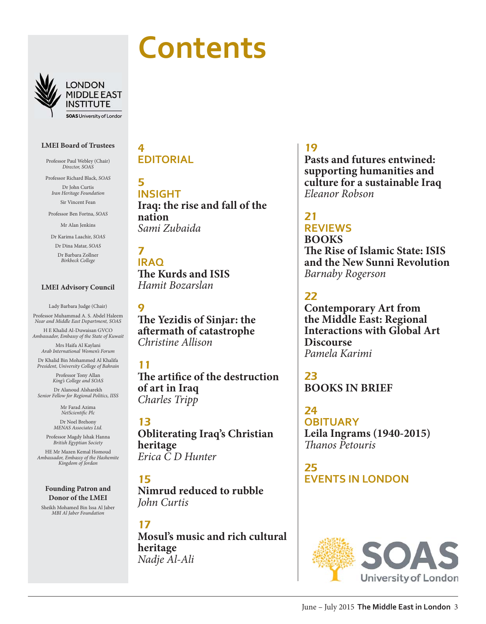



**LONDON MIDDLE EAST** INSTITUTE **SOAS University of London** 

#### **LMEI Board of Trustees**

Professor Paul Webley (Chair) *Director, SOAS*

Professor Richard Black, *SOAS* Dr John Curtis *Iran Heritage Foundation* Sir Vincent Fean

Professor Ben Fortna, *SOAS*

Mr Alan Jenkins

Dr Karima Laachir, *SOAS*

Dr Dina Matar, *SOAS* Dr Barbara Zollner *Birkbeck College*

#### **LMEI Advisory Council**

Lady Barbara Judge (Chair) Professor Muhammad A. S. Abdel Haleem *Near and Middle East Department, SOAS*

H E Khalid Al-Duwaisan GVCO *Ambassador, Embassy of the State of Kuwait* Mrs Haifa Al Kaylani

*Arab International Women's Forum* Dr Khalid Bin Mohammed Al Khalifa

*President, University College of Bahrain*

Professor Tony Allan *King's College and SOAS*

Dr Alanoud Alsharekh *Senior Fellow for Regional Politics, IISS*

> Mr Farad Azima *NetScientific Plc*

Dr Noel Brehony *MENAS Associates Ltd.*

Professor Magdy Ishak Hanna *British Egyptian Society*

HE Mr Mazen Kemal Homoud *Ambassador, Embassy of the Hashemite Kingdom of Jordan*

**Founding Patron and Donor of the LMEI**

Sheikh Mohamed Bin Issa Al Jaber *MBI Al Jaber Foundation*

#### 4 **EDITORIAL**

5 **INSIGHT Iraq: the rise and fall of the nation** *Sami Zubaida*

7 **IRAQ The Kurds and ISIS** *Hamit Bozarslan*

**The Yezidis of Sinjar: the af ermath of catastrophe**  *Christine Allison*

# 11

 $\mathbf Q$ 

**The artifice of the destruction of art in Iraq** *Charles Tripp*

# 13

**Obliterating Iraq's Christian heritage** *Erica C D Hunter*

# 15

**Nimrud reduced to rubble** *John Curtis*

17 **Mosul's music and rich cultural heritage** *Nadje Al-Ali*

# 19

**Pasts and futures entwined: supporting humanities and culture for a sustainable Iraq** *Eleanor Robson*

# 21

# **REVIEWS BOOKS**

**The Rise of Islamic State: ISIS and the New Sunni Revolution**  *Barnaby Rogerson*

# 22

**Contemporary Art from the Middle East: Regional Interactions with Global Art Discourse**  *Pamela Karimi*

# 23 **BOOKS IN BRIEF**

24 **OBITUARY Leila Ingrams (1940-2015)** T *anos Petouris*

25 **EVENTS IN LONDON**

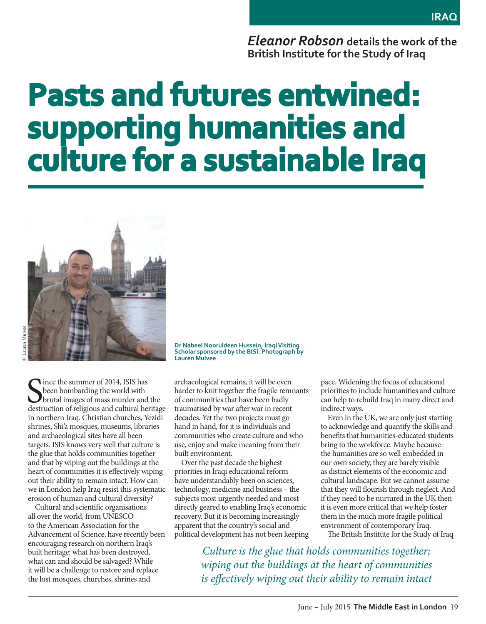*Eleanor Robson* **details the work of the British Institute for the Study of Iraq**

# **Pasts and futures entwined: supporting humanities and upporting culture for a sustainable Iraq ulture Iraq**



Since the summer of 2014, ISIS has<br>been bombarding the world with<br>destruction of religious and cultural heritage ince the summer of 2014, ISIS has been bombarding the world with brutal images of mass murder and the in northern Iraq. Christian churches, Yezidi shrines, Shi'a mosques, museums, libraries and archaeological sites have all been targets. ISIS knows very well that culture is the glue that holds communities together and that by wiping out the buildings at the heart of communities it is effectively wiping out their ability to remain intact. How can we in London help Iraq resist this systematic erosion of human and cultural diversity?

Cultural and scientific organisations all over the world, from UNESCO to the American Association for the Advancement of Science, have recently been encouraging research on northern Iraq's built heritage: what has been destroyed, what can and should be salvaged? While it will be a challenge to restore and replace the lost mosques, churches, shrines and

**Dr Nabeel Nooruldeen Hussein, Iraqi Visiting Scholar sponsored by the BISI. Photograph by Lauren Mulvee**

archaeological remains, it will be even harder to knit together the fragile remnants of communities that have been badly traumatised by war after war in recent decades. Yet the two projects must go hand in hand, for it is individuals and communities who create culture and who use, enjoy and make meaning from their built environment.

Over the past decade the highest priorities in Iraqi educational reform have understandably been on sciences, technology, medicine and business – the subjects most urgently needed and most directly geared to enabling Iraq's economic recovery. But it is becoming increasingly apparent that the country's social and political development has not been keeping pace. Widening the focus of educational priorities to include humanities and culture can help to rebuild Iraq in many direct and indirect ways.

Even in the UK, we are only just starting to acknowledge and quantify the skills and benefits that humanities-educated students bring to the workforce. Maybe because the humanities are so well embedded in our own society, they are barely visible as distinct elements of the economic and cultural landscape. But we cannot assume that they will flourish through neglect. And if they need to be nurtured in the UK then it is even more critical that we help foster them in the much more fragile political environment of contemporary Iraq.

The British Institute for the Study of Iraq

*Culture is the glue that holds communities together; wiping out the buildings at the heart of communities is effectively wiping out their ability to remain intact*